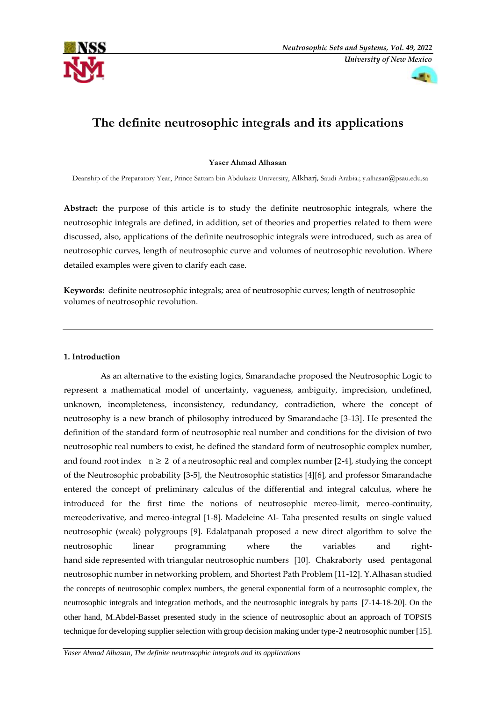



# **The definite neutrosophic integrals and its applications**

# **Yaser Ahmad Alhasan**

Deanship of the Preparatory Year, Prince Sattam bin Abdulaziz University, Alkharj, Saudi Arabia.; [y.alhasan@psau.edu.sa](mailto:y.alhasan@psau.edu.sa)

**Abstract:** the purpose of this article is to study the definite neutrosophic integrals, where the neutrosophic integrals are defined, in addition, set of theories and properties related to them were discussed, also, applications of the definite neutrosophic integrals were introduced, such as area of neutrosophic curves, length of neutrosophic curve and volumes of neutrosophic revolution. Where detailed examples were given to clarify each case.

**Keywords:** definite neutrosophic integrals; area of neutrosophic curves; length of neutrosophic volumes of neutrosophic revolution.

# **1. Introduction**

 As an alternative to the existing logics, Smarandache proposed the Neutrosophic Logic to represent a mathematical model of uncertainty, vagueness, ambiguity, imprecision, undefined, unknown, incompleteness, inconsistency, redundancy, contradiction, where the concept of neutrosophy is a new branch of philosophy introduced by Smarandache [3-13]. He presented the definition of the standard form of neutrosophic real number and conditions for the division of two neutrosophic real numbers to exist, he defined the standard form of neutrosophic complex number, and found root index  $n \geq 2$  of a neutrosophic real and complex number [2-4], studying the concept of the Neutrosophic probability [3-5], the Neutrosophic statistics [4][6], and professor Smarandache entered the concept of preliminary calculus of the differential and integral calculus, where he introduced for the first time the notions of neutrosophic mereo-limit, mereo-continuity, mereoderivative, and mereo-integral [1-8]. Madeleine Al- Taha presented results on single valued neutrosophic (weak) polygroups [9]. Edalatpanah proposed a new direct algorithm to solve the neutrosophic linear programming where the variables and righthand side represented with triangular neutrosophic numbers [10]. Chakraborty used pentagonal neutrosophic number in networking problem, and Shortest Path Problem [11-12]. Y.Alhasan studied the concepts of neutrosophic complex numbers, the general exponential form of a neutrosophic complex, the neutrosophic integrals and integration methods, and the neutrosophic integrals by parts [7-14-18-20]. On the other hand, M.Abdel-Basset presented study in the science of neutrosophic about an approach of TOPSIS technique for developing supplier selection with group decision making under type-2 neutrosophic number [15].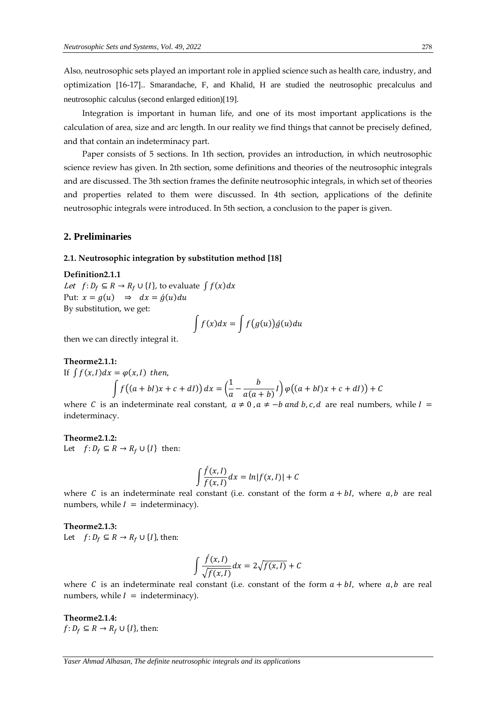Also, neutrosophic sets played an important role in applied science such as health care, industry, and optimization [16-17].. Smarandache, F, and Khalid, H are studied the neutrosophic precalculus and neutrosophic calculus (second enlarged edition)[19].

 Integration is important in human life, and one of its most important applications is the calculation of area, size and arc length. In our reality we find things that cannot be precisely defined, and that contain an indeterminacy part.

 Paper consists of 5 sections. In 1th section, provides an introduction, in which neutrosophic science review has given. In 2th section, some definitions and theories of the neutrosophic integrals and are discussed. The 3th section frames the definite neutrosophic integrals, in which set of theories and properties related to them were discussed. In 4th section, applications of the definite neutrosophic integrals were introduced. In 5th section, a conclusion to the paper is given.

# **2. Preliminaries**

# **2.1. Neutrosophic integration by substitution method [18]**

**Definition2.1.1** *Let*  $f: D_f \subseteq R \rightarrow R_f \cup \{I\}$ , to evaluate  $\int f(x) dx$ Put:  $x = g(u) \Rightarrow dx = \dot{g}(u)du$ By substitution, we get:

$$
\int f(x)dx = \int f(g(u))\dot{g}(u)du
$$

then we can directly integral it.

#### **Theorme2.1.1:**  If  $\int f(x, l) dx = \varphi(x, l)$  then,  $\int f((a+bl)x+c+dl)) dx = \left(\frac{1}{a}\right)^2$  $\frac{1}{a} - \frac{b}{a(a-1)}$  $\frac{c}{a(a+b)}$  $\int \varphi((a+bl)x+c+dl) + C$

where C is an indeterminate real constant,  $a \ne 0$ ,  $a \ne -b$  and b, c, d are real numbers, while  $I =$ indeterminacy.

### **Theorme2.1.2:**

Let  $f: D_f \subseteq R \rightarrow R_f \cup \{I\}$  then:

$$
\int \frac{\dot{f}(x,l)}{f(x,l)} dx = \ln|f(x,l)| + C
$$

where C is an indeterminate real constant (i.e. constant of the form  $a + bl$ , where  $a, b$  are real numbers, while  $I =$  indeterminacy).

#### **Theorme2.1.3:**

Let  $f: D_f \subseteq R \rightarrow R_f \cup \{I\}$ , then:

$$
\int \frac{\hat{f}(x,I)}{\sqrt{f(x,I)}} dx = 2\sqrt{f(x,I)} + C
$$

where C is an indeterminate real constant (i.e. constant of the form  $a + bl$ , where  $a, b$  are real numbers, while  $I =$  indeterminacy).

**Theorme2.1.4:**   $f: D_f \subseteq R \rightarrow R_f \cup \{I\}$ , then:

*Yaser Ahmad Alhasan, The definite neutrosophic integrals and its applications*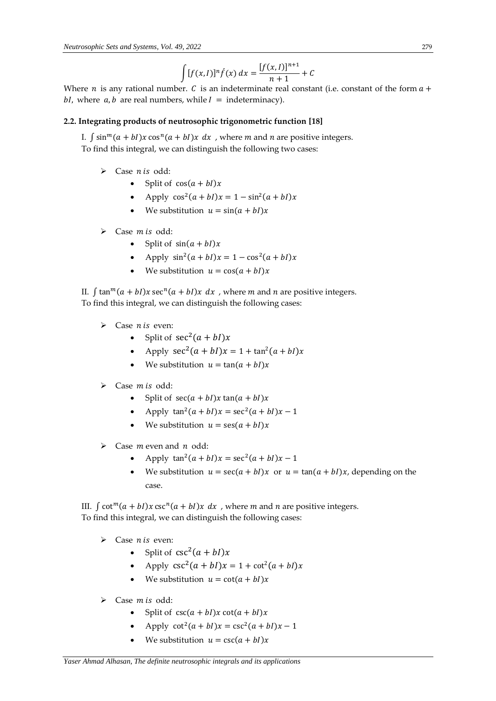$$
\int [f(x, I)]^n \hat{f}(x) dx = \frac{[f(x, I)]^{n+1}}{n+1} + C
$$

Where *n* is any rational number. *C* is an indeterminate real constant (i.e. constant of the form  $a +$ bI, where  $a$ ,  $b$  are real numbers, while  $I =$  indeterminacy).

# **2.2. Integrating products of neutrosophic trigonometric function [18]**

I.  $\int \sin^m(a + bI)x \cos^n(a + bI)x dx$ , where *m* and *n* are positive integers. To find this integral, we can distinguish the following two cases:

- $\triangleright$  Case *n* is odd:
	- Split of  $cos(a + bI)x$
	- Apply  $\cos^2(a + bI)x = 1 \sin^2(a + bI)x$
	- We substitution  $u = sin(a + bI)x$
- $\triangleright$  Case *m* is odd:
	- Split of  $sin(a + bI)x$
	- Apply  $\sin^2(a + bI)x = 1 \cos^2(a + bI)x$
	- We substitution  $u = \cos(a + bI)x$

II.  $\int \tan^{m}(a + bI)x \sec^{n}(a + bI)x dx$ , where *m* and *n* are positive integers. To find this integral, we can distinguish the following cases:

- $\triangleright$  Case *n* is even:
	- Split of  $sec^2(a + bI)x$
	- Apply  $\sec^2(a + bI)x = 1 + \tan^2(a + bI)x$
	- We substitution  $u = \tan(a + bI)x$
- $\triangleright$  Case *m* is odd:
	- Split of  $sec(a + bI)x$   $tan(a + bI)x$
	- Apply  $\tan^2(a + bI)x = \sec^2(a + bI)x 1$
	- We substitution  $u = \text{ses}(a + bI)x$
- $\triangleright$  Case *m* even and *n* odd:
	- Apply  $\tan^2(a + bI)x = \sec^2(a + bI)x 1$
	- We substitution  $u = \sec(a + bI)x$  or  $u = \tan(a + bI)x$ , depending on the case.

III.  $\int \cot^{m}(a + bI)x \csc^{n}(a + bI)x dx$ , where *m* and *n* are positive integers. To find this integral, we can distinguish the following cases:

- $\triangleright$  Case *n* is even:
	- Split of  $csc^2(a + bl)x$
	- Apply  $\csc^2(a + bI)x = 1 + \cot^2(a + bI)x$
	- We substitution  $u = \cot(a + bI)x$
- $\triangleright$  Case *m* is odd:
	- Split of  $\csc(a + bI)x \cot(a + bI)x$
	- Apply  $\cot^2(a + bI)x = \csc^2(a + bI)x 1$
	- We substitution  $u = \csc(a + bI)x$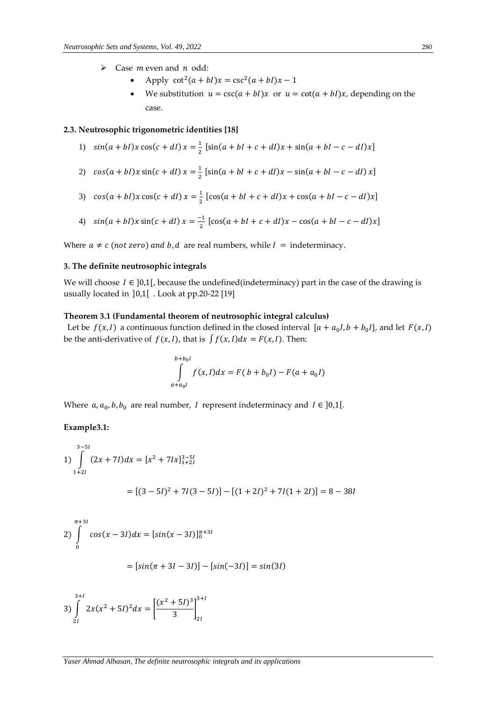- $\triangleright$  Case *m* even and *n* odd:
	- Apply  $\cot^2(a + bI)x = \csc^2(a + bI)x 1$
	- We substitution  $u = \csc(a + bI)x$  or  $u = \cot(a + bI)x$ , depending on the case.

### **2.3. Neutrosophic trigonometric identities [18]**

- 1)  $sin(a + bI)x cos(c + dI)x = \frac{1}{2}$  $\frac{1}{2}$  [sin(a + bI + c + dI)x + sin(a + bI – c – dI)x]
- 2)  $cos(a + bI)x sin(c + dI)x = \frac{1}{2}$  $\frac{1}{2}$  [sin(a + bI + c + dI)x - sin(a + bI - c - dI) x]
- 3)  $cos(a + bI)x cos(c + dI)x = \frac{1}{2}$  $\frac{1}{2}$  [cos(a + bI + c + dI)x + cos(a + bI – c – dI)x]
- 4)  $sin(a + bI)x sin(c + dl)x = \frac{-1}{2}$  $\frac{1}{2}$  [cos(a + bI + c + dI)x – cos(a + bI – c – dI)x]

Where  $a \neq c$  (not zero) and b, d are real numbers, while  $I =$  indeterminacy.

# **3. The definite neutrosophic integrals**

We will choose  $I \in [0,1]$ , because the undefined(indeterminacy) part in the case of the drawing is usually located in ]0,1[ . Look at pp.20-22 [19]

# **Theorem 3.1 (Fundamental theorem of neutrosophic integral calculus)**

Let be  $f(x, I)$  a continuous function defined in the closed interval  $[a + a_0 I, b + b_0 I]$ , and let  $F(x, I)$ be the anti-derivative of  $f(x, l)$ , that is  $\int f(x, l) dx = F(x, l)$ . Then:

$$
\int_{a+a_0I}^{b+b_0I} f(x,I)dx = F(b+b_0I) - F(a+a_0I)
$$

Where  $a, a_0, b, b_0$  are real number, I represent indeterminacy and  $I \in ]0,1[$ .

#### **Example3.1:**

1) 
$$
\int_{1+2I}^{3-5I} (2x + 7I) dx = [x^2 + 7Ix]_{1+2I}^{3-5I}
$$

$$
= [(3-5I)^2 + 7I(3-5I)] - [(1+2I)^2 + 7I(1+2I)] = 8 - 38I
$$

$$
\begin{aligned} \n\pi^{+31} \\ \n2) \int_{0}^{\pi^{+31}} \cos(x - 3I) dx &= \left[ \sin(x - 3I) \right]_{0}^{\pi^{+31}} \\ \n&= \left[ \sin(\pi + 3I - 3I) \right] - \left[ \sin(-3I) \right] = \sin(3I) \n\end{aligned}
$$

$$
3)\int_{2I}^{3+I} 2x(x^2+5I)^2 dx = \left[\frac{(x^2+5I)^3}{3}\right]_{2I}^{3+I}
$$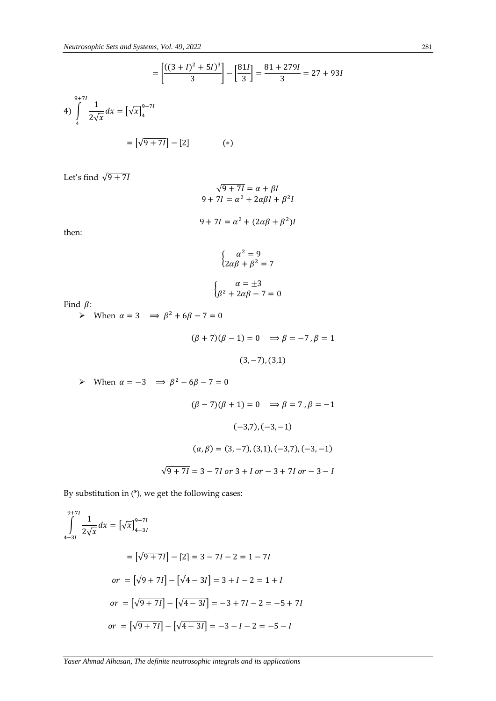$$
= \left[\frac{((3 + I)^2 + 5I)^3}{3}\right] - \left[\frac{81I}{3}\right] = \frac{81 + 279I}{3} = 27 + 93I
$$
  
4) 
$$
\int_{4}^{9+7I} \frac{1}{2\sqrt{x}} dx = \left[\sqrt{x}\right]_{4}^{9+7I}
$$

$$
= \left[\sqrt{9 + 7I}\right] - \left[2\right] \qquad (*)
$$

Let's find  $\sqrt{9+7I}$ 

$$
\sqrt{9+7I} = \alpha + \beta I
$$
  
9 + 7I =  $\alpha^2$  + 2 $\alpha\beta I$  +  $\beta^2 I$ 

$$
9 + 7I = \alpha^2 + (2\alpha\beta + \beta^2)I
$$

then:

$$
\begin{cases}\n\alpha^2 = 9 \\
2\alpha\beta + \beta^2 = 7\n\end{cases}
$$

$$
\begin{cases}\n\alpha = \pm 3\\ \beta^2 + 2\alpha\beta - 7 = 0\n\end{cases}
$$

Find  $\beta$ :

When  $\alpha = 3 \implies \beta^2 + 6\beta - 7 = 0$ 

$$
(\beta + 7)(\beta - 1) = 0 \implies \beta = -7, \beta = 1
$$
  
(3, -7), (3,1)

 $\triangleright$  When  $\alpha = -3$   $\Rightarrow \beta^2 - 6\beta - 7 = 0$ 

$$
(\beta - 7)(\beta + 1) = 0 \implies \beta = 7, \beta = -1
$$

$$
(-3,7), (-3, -1)
$$

$$
(\alpha, \beta) = (3, -7), (3,1), (-3,7), (-3, -1)
$$

$$
\sqrt{9 + 7l} = 3 - 7l \text{ or } 3 + l \text{ or } -3 + 7l \text{ or } -3 - l
$$

By substitution in (\*), we get the following cases:

$$
\int_{4-3I}^{9+7I} \frac{1}{2\sqrt{x}} dx = [\sqrt{x}]_{4-3I}^{9+7I}
$$
  
=  $[\sqrt{9+7I}] - [2] = 3 - 7I - 2 = 1 - 7I$   

$$
or = [\sqrt{9+7I}] - [\sqrt{4-3I}] = 3 + I - 2 = 1 + I
$$
  

$$
or = [\sqrt{9+7I}] - [\sqrt{4-3I}] = -3 + 7I - 2 = -5 + 7I
$$
  

$$
or = [\sqrt{9+7I}] - [\sqrt{4-3I}] = -3 - I - 2 = -5 - I
$$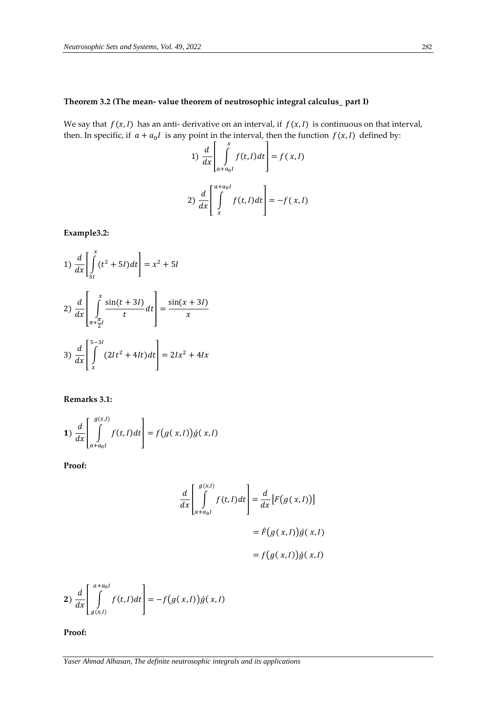# **Theorem 3.2 (The mean- value theorem of neutrosophic integral calculus\_ part I)**

We say that  $f(x, l)$  has an anti- derivative on an interval, if  $f(x, l)$  is continuous on that interval, then. In specific, if  $a + a_0 I$  is any point in the interval, then the function  $f(x, I)$  defined by:

1) 
$$
\frac{d}{dx} \left[ \int_{a+a_0I}^{x} f(t, I) dt \right] = f(x, I)
$$
  
2) 
$$
\frac{d}{dx} \left[ \int_{x}^{a+a_0I} f(t, I) dt \right] = -f(x, I)
$$

**Example3.2:**

1) 
$$
\frac{d}{dx} \left[ \int_{3I}^{x} (t^2 + 5I) dt \right] = x^2 + 5I
$$
  
2) 
$$
\frac{d}{dx} \left[ \int_{\pi + \frac{\pi}{2}I}^{x} \frac{\sin(t + 3I)}{t} dt \right] = \frac{\sin(x + 3I)}{x}
$$
  
3) 
$$
\frac{d}{dx} \left[ \int_{x}^{5-3I} (2It^2 + 4It) dt \right] = 2Ix^2 + 4Ix
$$

**Remarks 3.1:**

$$
1) \frac{d}{dx} \left[ \int_{a+a_0I}^{g(x,I)} f(t,I) dt \right] = f(g(x,I)) \acute{g}(x,I)
$$

**Proof:**

$$
\frac{d}{dx} \left[ \int_{a+a_0I}^{g(x,I)} f(t,I) dt \right] = \frac{d}{dx} [F(g(x,I))]
$$

$$
= \hat{F}(g(x,I)) \hat{g}(x,I)
$$

$$
= f(g(x,I)) \hat{g}(x,I)
$$

$$
2)\frac{d}{dx}\left[\int\limits_{g(x,l)}^{a+a_0l}f(t,l)dt\right]=-f\big(g(x,l)\big)g(x,l)
$$

**Proof:**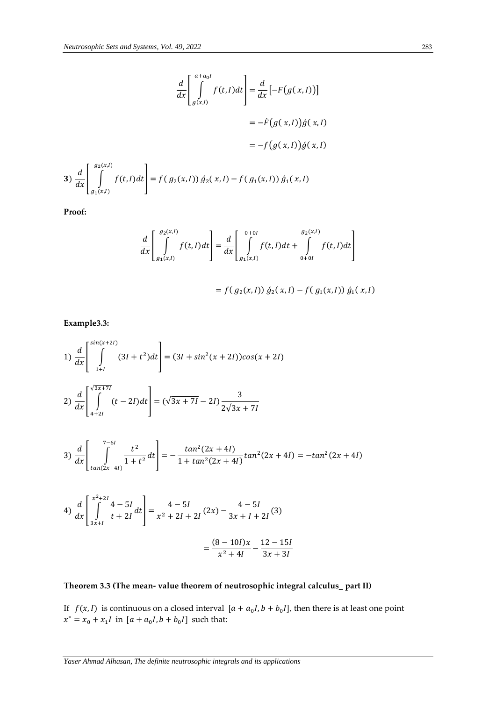$$
\frac{d}{dx} \left[ \int_{g(x,l)}^{a+a_0l} f(t,l)dt \right] = \frac{d}{dx} \left[ -F(g(x,l)) \right]
$$
\n
$$
= -f(g(x,l))\dot{g}(x,l)
$$
\n
$$
= -f(g(x,l))\dot{g}(x,l)
$$
\n
$$
3) \frac{d}{dx} \left[ \int_{g_1(x,l)}^{g_2(x,l)} f(t,l)dt \right] = f(g_2(x,l)) \dot{g}_2(x,l) - f(g_1(x,l)) \dot{g}_1(x,l)
$$

**Proof:**

$$
\frac{d}{dx} \left[ \int_{g_1(x,I)}^{g_2(x,I)} f(t,I) dt \right] = \frac{d}{dx} \left[ \int_{g_1(x,I)}^{0+0I} f(t,I) dt + \int_{0+0I}^{g_2(x,I)} f(t,I) dt \right]
$$

$$
= f(g_2(x,I)) g_2(x,I) - f(g_1(x,I)) g_1(x,I)
$$

**Example3.3:**

1) 
$$
\frac{d}{dx} \left[ \int_{1+I}^{\sin(x+2I)} (3I+t^2) dt \right] = (3I + \sin^2(x+2I)) \cos(x+2I)
$$
  
2) 
$$
\frac{d}{dx} \left[ \int_{4+2I}^{\sqrt{3x+7I}} (t-2I) dt \right] = (\sqrt{3x+7I} - 2I) \frac{3}{2\sqrt{3x+7I}}
$$

$$
3)\frac{d}{dx}\left[\int_{\tan(2x+4I)}^{7-6I} \frac{t^2}{1+t^2} dt\right] = -\frac{\tan^2(2x+4I)}{1+\tan^2(2x+4I)}\tan^2(2x+4I) = -\tan^2(2x+4I)
$$

4) 
$$
\frac{d}{dx} \left[ \int_{3x+1}^{x^2+2I} \frac{4-5I}{t+2I} dt \right] = \frac{4-5I}{x^2+2I+2I} (2x) - \frac{4-5I}{3x+1+2I} (3)
$$

$$
= \frac{(8-10I)x}{x^2+4I} - \frac{12-15I}{3x+3I}
$$

# **Theorem 3.3 (The mean- value theorem of neutrosophic integral calculus\_ part II)**

If  $f(x, l)$  is continuous on a closed interval  $[a + a_0I, b + b_0I]$ , then there is at least one point  $x^* = x_0 + x_1 I$  in  $[a + a_0 I, b + b_0 I]$  such that: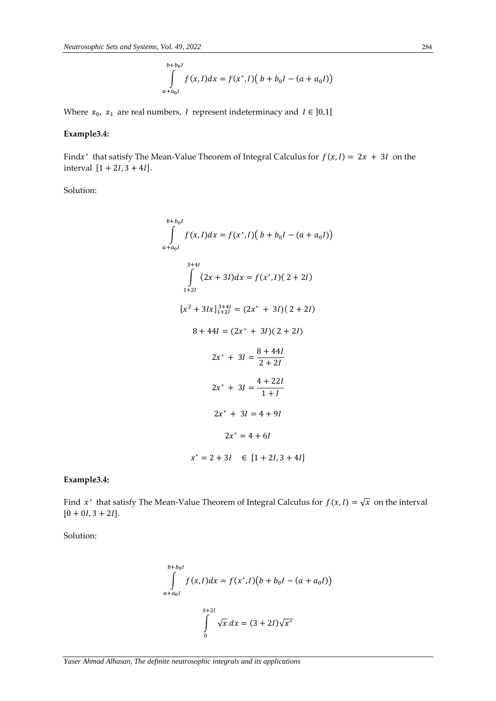$$
\int_{a+a_0I}^{b+b_0I} f(x,I)dx = f(x^*,I) (b+b_0I - (a+a_0I))
$$

Where  $x_0$ ,  $x_1$  are real numbers, I represent indeterminacy and  $I \in ]0,1[$ 

# **Example3.4:**

Find $x^*$  that satisfy The Mean-Value Theorem of Integral Calculus for  $f(x, I) = 2x + 3I$  on the interval  $[1 + 2I, 3 + 4I]$ .

Solution:

$$
\int_{a+a_0I}^{b+b_0I} f(x,I)dx = f(x^*,I) (b+b_0I - (a+a_0I))
$$
  

$$
\int_{1+2I}^{3+4I} (2x+3I)dx = f(x^*,I) (2+2I)
$$
  

$$
[x^2+3Ix]_{1+2I}^{3+4I} = (2x^*+3I) (2+2I)
$$
  

$$
8+44I = (2x^*+3I) (2+2I)
$$
  

$$
2x^*+3I = \frac{8+44I}{2+2I}
$$
  

$$
2x^*+3I = \frac{4+22I}{1+I}
$$
  

$$
2x^*+3I = 4+9I
$$
  

$$
2x^* = 4+6I
$$
  

$$
x^* = 2+3I \in [1+2I,3+4I]
$$

**Example3.4:**

Find  $x^*$  that satisfy The Mean-Value Theorem of Integral Calculus for  $f(x,I) = \sqrt{x}$  on the interval  $[0 + 0I, 3 + 2I].$ 

Solution:

$$
\int_{a+a_0I}^{b+b_0I} f(x,I)dx = f(x^*,I)(b+b_0I - (a+a_0I))
$$
\n
$$
\int_{0}^{3+2I} \sqrt{x} dx = (3+2I)\sqrt{x^*}
$$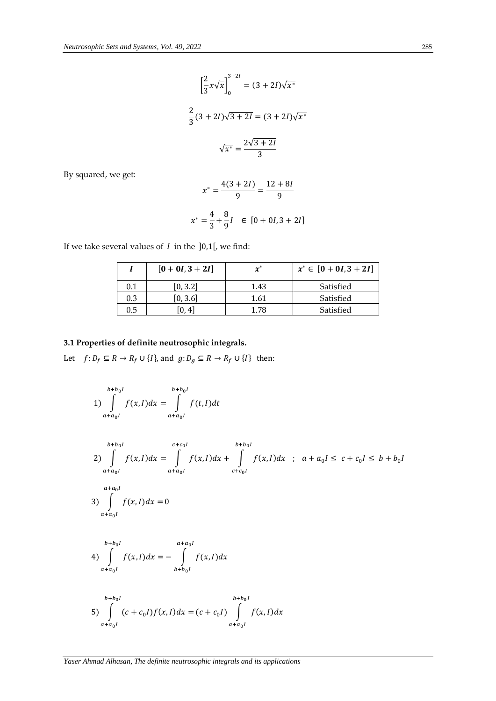$$
\left[\frac{2}{3}x\sqrt{x}\right]_0^{3+2I} = (3+2I)\sqrt{x^*}
$$

$$
\frac{2}{3}(3+2I)\sqrt{3+2I} = (3+2I)\sqrt{x^*}
$$

$$
\sqrt{x^*} = \frac{2\sqrt{3+2I}}{3}
$$

By squared, we get:

$$
x^* = \frac{4(3+2I)}{9} = \frac{12+8I}{9}
$$

$$
x^* = \frac{4}{3} + \frac{8}{9}I \in [0+0I, 3+2I]
$$

If we take several values of  $I$  in the  $]0,1[$ , we find:

|         | $[0 + 0I, 3 + 2I]$ | $\boldsymbol{x}^*$ | $x^* \in [0 + 0I, 3 + 2I]$ |
|---------|--------------------|--------------------|----------------------------|
| 0.1     | [0, 3.2]           | 1.43               | Satisfied                  |
| 0.3     | [0, 3.6]           | 1.61               | Satisfied                  |
| $0.5\,$ | [0, 4]             | 1.78               | Satisfied                  |

# **3.1 Properties of definite neutrosophic integrals.**

Let  $f\colon D_f\subseteq R\to R_f\cup\{I\},$  and  $g\colon D_g\subseteq R\to R_f\cup\{I\}$  then:

$$
1) \int_{a+a_0I}^{b+b_0I} f(x,I)dx = \int_{a+a_0I}^{b+b_0I} f(t,I)dt
$$

$$
b+b_0I
$$
  
\n2)  $\int_{a+a_0I} f(x,I)dx = \int_{a+a_0I}^{c+c_0I} f(x,I)dx + \int_{c+c_0I}^{b+b_0I} f(x,I)dx \text{ ; } a+a_0I \le c+c_0I \le b+b_0I$   
\n3)  $\int_{a+a_0I}^{a+a_0I} f(x,I)dx = 0$ 

4) 
$$
\int_{a+a_0I} f(x, I)dx = -\int_{b+b_0I} f(x, I)dx
$$

5) 
$$
\int_{a+a_0I}^{b+b_0I} (c+c_0I)f(x,I)dx = (c+c_0I) \int_{a+a_0I}^{b+b_0I} f(x,I)dx
$$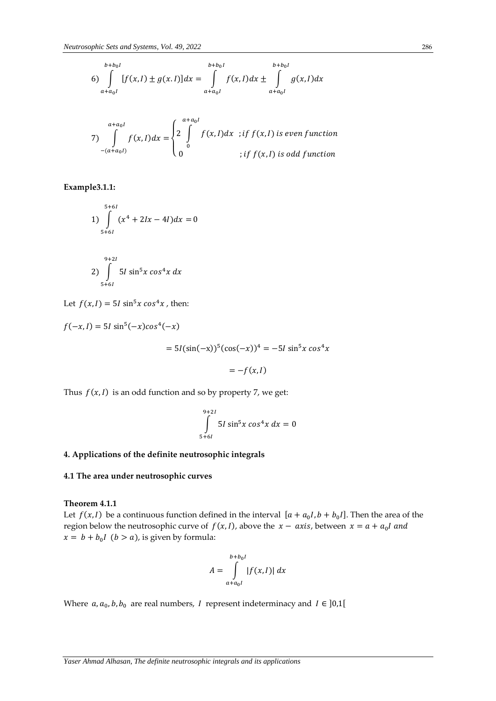$$
b+b_0I
$$
  
\n
$$
6)\int_{a+a_0I} [f(x,I) \pm g(x,I)]dx = \int_{a+a_0I}^{b+b_0I} f(x,I)dx \pm \int_{a+a_0I}^{b+b_0I} g(x,I)dx
$$

$$
7) \int_{-(a+a_0I)}^{a+a_0I} f(x,I)dx = \begin{cases} 2 \int_{0}^{a+a_0I} f(x,I)dx & ;if \ f(x,I) \ \text{is even function} \\ 0 & ;if \ f(x,I) \ \text{is odd function} \end{cases}
$$

**Example3.1.1:**

$$
1) \int_{5+6l}^{5+6l} (x^4 + 2lx - 4l) dx = 0
$$

$$
2) \int_{5+6I}^{9+2I} 5I \sin^5 x \cos^4 x \, dx
$$

Let  $f(x, I) = 5I \sin^5 x \cos^4 x$ , then:

$$
f(-x, I) = 5I \sin^{5}(-x)\cos^{4}(-x)
$$
  
=  $5I(\sin(-x))^{5}(\cos(-x))^{4} = -5I \sin^{5}x \cos^{4}x$   
=  $-f(x, I)$ 

Thus  $f(x, l)$  is an odd function and so by property 7, we get:

$$
\int_{5+6I}^{9+2I} 5I \sin^5 x \cos^4 x \, dx = 0
$$

# **4. Applications of the definite neutrosophic integrals**

#### **4.1 The area under neutrosophic curves**

# **Theorem 4.1.1**

Let  $f(x, l)$  be a continuous function defined in the interval  $[a + a_0l, b + b_0l]$ . Then the area of the region below the neutrosophic curve of  $f(x, I)$ , above the  $x - axis$ , between  $x = a + a_0 I$  and  $x = b + b_0 I$  ( $b > a$ ), is given by formula:

$$
A = \int_{a+a_0I}^{b+b_0I} |f(x,I)| dx
$$

Where  $a, a_0, b, b_0$  are real numbers, I represent indeterminacy and  $I \in ]0,1[$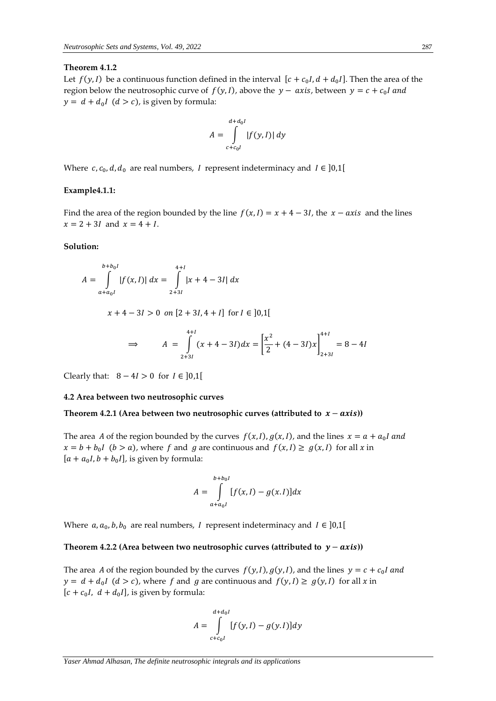### **Theorem 4.1.2**

Let  $f(y, I)$  be a continuous function defined in the interval  $[c + c_0 I, d + d_0 I]$ . Then the area of the region below the neutrosophic curve of  $f(y, I)$ , above the  $y - axis$ , between  $y = c + c_0 I$  and  $y = d + d_0 I$   $(d > c)$ , is given by formula:

$$
A = \int_{c+c_0I}^{d+d_0I} |f(y, I)| dy
$$

Where  $c, c_0, d, d_0$  are real numbers, I represent indeterminacy and  $I \in ]0,1[$ 

### **Example4.1.1:**

Find the area of the region bounded by the line  $f(x, l) = x + 4 - 3l$ , the  $x - axis$  and the lines  $x = 2 + 3I$  and  $x = 4 + I$ .

### **Solution:**

$$
A = \int_{a+a_0I}^{b+b_0I} |f(x,I)| dx = \int_{2+3I}^{4+I} |x+4-3I| dx
$$

 $x + 4 - 3I > 0$  on  $[2 + 3I, 4 + I]$  for  $I \in ]0,1[$ 

$$
\Rightarrow \qquad A = \int_{2+3I}^{4+I} (x+4-3I) dx = \left[ \frac{x^2}{2} + (4-3I)x \right]_{2+3I}^{4+I} = 8 - 4I
$$

Clearly that:  $8 - 4I > 0$  for  $I \in ]0,1[$ 

### **4.2 Area between two neutrosophic curves**

### Theorem 4.2.1 (Area between two neutrosophic curves (attributed to  $x - axis$ ))

The area A of the region bounded by the curves  $f(x, I)$ ,  $g(x, I)$ , and the lines  $x = a + a_0 I$  and  $x = b + b_0 I$  ( $b > a$ ), where f and g are continuous and  $f(x, I) \ge g(x, I)$  for all x in  $[a + a_0 I, b + b_0 I]$ , is given by formula:

$$
A = \int_{a+a_0I}^{b+b_0I} [f(x,I) - g(x,I)] dx
$$

Where  $a, a_0, b, b_0$  are real numbers, I represent indeterminacy and  $I \in ]0,1[$ 

#### Theorem 4.2.2 (Area between two neutrosophic curves (attributed to  $y - axis$ ))

The area A of the region bounded by the curves  $f(y, I)$ ,  $g(y, I)$ , and the lines  $y = c + c_0 I$  and  $y = d + d_0 I$   $(d > c)$ , where f and g are continuous and  $f(y, I) \ge g(y, I)$  for all x in  $[c + c_0 I, d + d_0 I]$ , is given by formula:

$$
A = \int_{c+c_0I}^{d+d_0I} [f(y, I) - g(y, I)] dy
$$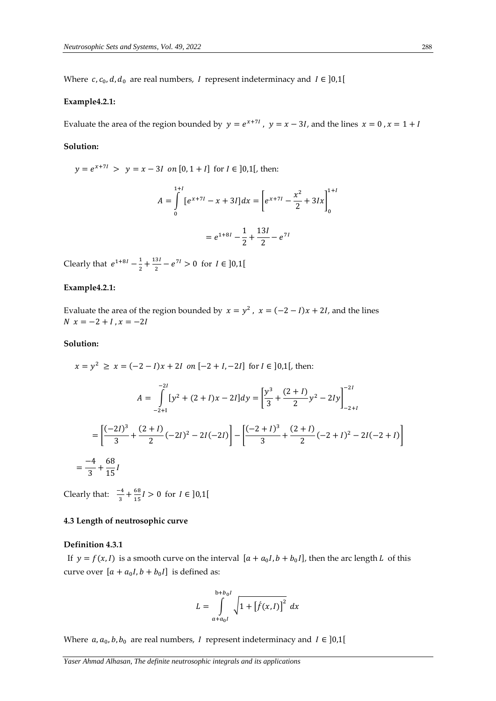Where  $c, c_0, d, d_0$  are real numbers, I represent indeterminacy and  $I \in ]0,1[$ 

### **Example4.2.1:**

Evaluate the area of the region bounded by  $y = e^{x+7l}$ ,  $y = x - 3l$ , and the lines  $x = 0$ ,  $x = 1 + l$ 

0

### **Solution:**

 $y = e^{x+7l} > y = x - 3l$  on  $[0, 1+l]$  for  $l \in ]0,1[,$  then:  $A = \int_{0}^{1} [e^{x+7t} - x + 3t] dx = \int_{0}^{1} e^{x+7t} - \frac{x^2}{2}$  $\frac{1}{2}$  + 3*Ix*  $1+I$   $1+I$   $1+I$ 0  $= e^{1+8i} - \frac{1}{2}$  $\frac{1}{2} + \frac{13l}{2}$  $\frac{1}{2}$  –  $e^{7l}$ 

Clearly that  $e^{1+8I} - \frac{1}{2}$  $\frac{1}{2} + \frac{13I}{2}$  $\frac{3I}{2} - e^{7I} > 0$  for  $I \in ]0,1[$ 

# **Example4.2.1:**

Evaluate the area of the region bounded by  $x = y^2$ ,  $x = (-2 - 1)x + 2I$ , and the lines  $N \; x = -2 + I$ ,  $x = -2I$ 

### **Solution:**

$$
x = y^2 \ge x = (-2 - 1)x + 2I \text{ on } [-2 + I, -2I] \text{ for } I \in ]0,1[, \text{ then:}
$$
  
\n
$$
A = \int_{-2+1}^{-2I} [y^2 + (2 + I)x - 2I] dy = \left[ \frac{y^3}{3} + \frac{(2 + I)}{2} y^2 - 2Iy \right]_{-2+I}^{-2I}
$$
  
\n
$$
= \left[ \frac{(-2I)^3}{3} + \frac{(2 + I)}{2} (-2I)^2 - 2I(-2I) \right] - \left[ \frac{(-2 + I)^3}{3} + \frac{(2 + I)}{2} (-2 + I)^2 - 2I(-2 + I) \right]
$$
  
\n
$$
= \frac{-4}{3} + \frac{68}{15}I
$$

Clearly that:  $\frac{-4}{3}$  $\frac{-4}{3} + \frac{68}{15}$  $\frac{66}{15}$ *l* > 0 for *I*  $\in$  [0,1]

### **4.3 Length of neutrosophic curve**

#### **Definition 4.3.1**

If  $y = f(x, l)$  is a smooth curve on the interval  $[a + a_0I, b + b_0I]$ , then the arc length L of this curve over  $[a + a_0 I, b + b_0 I]$  is defined as:

$$
L = \int_{a+a_0I}^{b+b_0I} \sqrt{1 + [f(x,I)]^2} \ dx
$$

Where  $a, a_0, b, b_0$  are real numbers, I represent indeterminacy and  $I \in ]0,1[$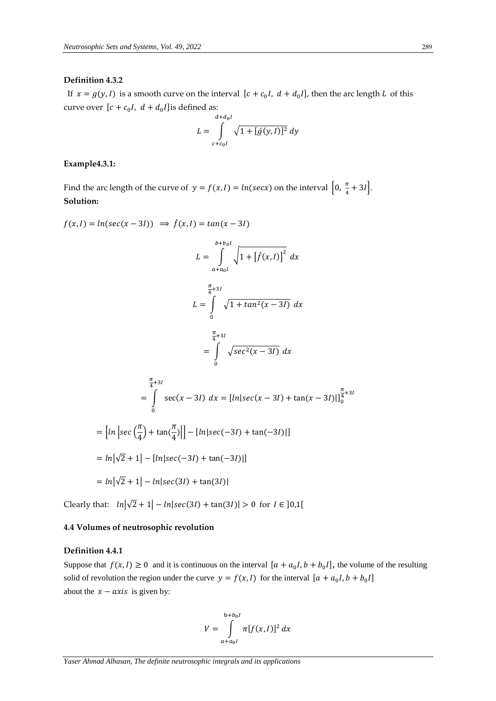# **Definition 4.3.2**

If  $x = g(y, I)$  is a smooth curve on the interval  $[c + c_0 I, d + d_0 I]$ , then the arc length L of this curve over  $[c + c_0 I, d + d_0 I]$  is defined as:

$$
L = \int_{c+c_0I}^{d+d_0I} \sqrt{1 + [\dot{g}(y, I)]^2} dy
$$

# **Example4.3.1:**

Find the arc length of the curve of  $y = f(x, l) = ln(secx)$  on the interval  $\left[0, \frac{\pi}{4}\right]$  $\frac{\pi}{4} + 3I$ . **Solution:**

$$
f(x, I) = ln(sec(x - 3I)) \implies \hat{f}(x, I) = tan(x - 3I)
$$
  
\n
$$
L = \int_{a+a_0I}^{b+b_0I} \sqrt{1 + [f(x, I)]^2} dx
$$
  
\n
$$
L = \int_{0}^{\frac{\pi}{4}+3I} \sqrt{1 + tan^2(x - 3I)} dx
$$
  
\n
$$
= \int_{0}^{\frac{\pi}{4}+3I} \sqrt{sec^2(x - 3I)} dx
$$
  
\n
$$
= \int_{0}^{\frac{\pi}{4}+3I} \sec(x - 3I) dx = [ln|sec(x - 3I) + tan(x - 3I)|]_0^{\frac{\pi}{4}+3I}
$$
  
\n
$$
= [ln|sec(\frac{\pi}{4}) + tan(\frac{\pi}{4})|] - [ln|sec(-3I) + tan(-3I)|]
$$
  
\n
$$
= ln|\sqrt{2} + 1| - [ln|sec(-3I) + tan(-3I)|]
$$
  
\n
$$
= ln|\sqrt{2} + 1| - ln|sec(3I) + tan(3I)|
$$

Clearly that:  $ln|\sqrt{2} + 1| - ln|sec(3I) + tan(3I)| > 0$  for  $I \in ]0,1[$ 

### **4.4 Volumes of neutrosophic revolution**

# **Definition 4.4.1**

Suppose that  $f(x, l) \ge 0$  and it is continuous on the interval  $[a + a_0l, b + b_0l]$ , the volume of the resulting solid of revolution the region under the curve  $y = f(x, l)$  for the interval  $[a + a_0 I, b + b_0 I]$ about the  $x - axis$  is given by:

$$
V = \int_{a+a_0I}^{b+b_0I} \pi[f(x,I)]^2 dx
$$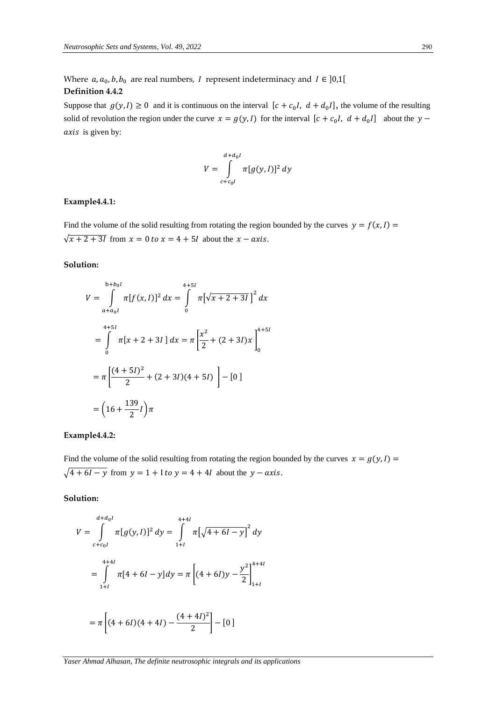Where  $a, a_0, b, b_0$  are real numbers, I represent indeterminacy and  $I \in ]0,1[$ **Definition 4.4.2**

Suppose that  $g(y, l) \ge 0$  and it is continuous on the interval  $[c + c_0, l, d + d_0, l]$ , the volume of the resulting solid of revolution the region under the curve  $x = g(y, I)$  for the interval  $[c + c_0 I, d + d_0 I]$  about the  $y$ axis is given by:

$$
V = \int_{c+c_0I}^{d+d_0I} \pi[g(y,I)]^2 dy
$$

# **Example4.4.1:**

Find the volume of the solid resulting from rotating the region bounded by the curves  $y = f(x, l)$  $\sqrt{x+2+3}I$  from  $x = 0$  to  $x = 4 + 5I$  about the  $x - axis$ .

# **Solution:**

$$
V = \int_{\alpha + a_0 I}^{b+b_0 I} \pi [f(x, I)]^2 dx = \int_0^{4+5I} \pi [\sqrt{x+2+3I}]^2 dx
$$
  
= 
$$
\int_0^{4+5I} \pi [x+2+3I] dx = \pi \left[ \frac{x^2}{2} + (2+3I)x \right]_0^{4+5I}
$$
  
= 
$$
\pi \left[ \frac{(4+5I)^2}{2} + (2+3I)(4+5I) \right] - [0]
$$
  
= 
$$
(16 + \frac{139}{2}I) \pi
$$

# **Example4.4.2:**

Find the volume of the solid resulting from rotating the region bounded by the curves  $x = g(y, l)$  =  $\sqrt{4+6l-y}$  from  $y = 1 + l$  to  $y = 4 + 4l$  about the  $y - axis$ .

# **Solution:**

$$
V = \int_{c+c_0I}^{d+d_0I} \pi [g(y, I)]^2 dy = \int_{1+I}^{4+4I} \pi \left[ \sqrt{4+6I-y} \right]^2 dy
$$
  
= 
$$
\int_{1+I}^{4+4I} \pi [4+6I-y] dy = \pi \left[ (4+6I)y - \frac{y^2}{2} \right]_{1+I}^{4+4I}
$$
  
= 
$$
\pi \left[ (4+6I)(4+4I) - \frac{(4+4I)^2}{2} \right] - [0]
$$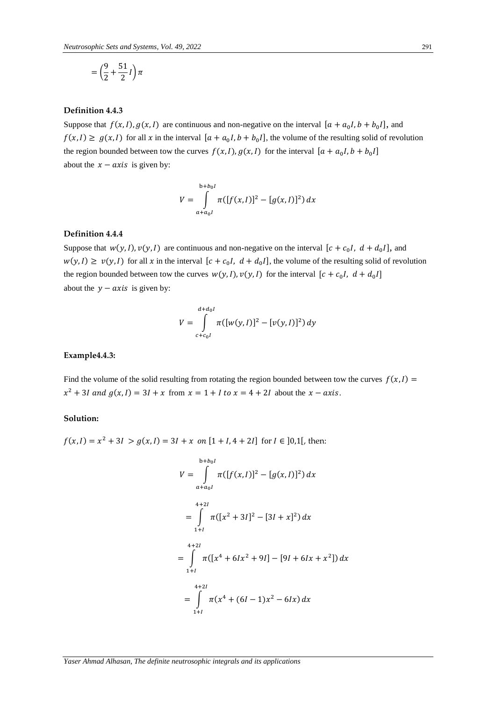$$
=\left(\frac{9}{2}+\frac{51}{2}I\right)\pi
$$

# **Definition 4.4.3**

Suppose that  $f(x, l), g(x, l)$  are continuous and non-negative on the interval  $[a + a_0 I, b + b_0 I]$ , and  $f(x, I) \ge g(x, I)$  for all x in the interval  $[a + a_0 I, b + b_0 I]$ , the volume of the resulting solid of revolution the region bounded between tow the curves  $f(x, I), g(x, I)$  for the interval  $[a + a_0 I, b + b_0 I]$ about the  $x - axis$  is given by:

$$
V = \int_{a+a_0I}^{b+b_0I} \pi([f(x,I)]^2 - [g(x,I)]^2) dx
$$

# **Definition 4.4.4**

Suppose that  $w(y, I)$ ,  $v(y, I)$  are continuous and non-negative on the interval  $[c + c_0 I, d + d_0 I]$ , and  $w(y, I) \ge v(y, I)$  for all x in the interval  $[c + c_0 I, d + d_0 I]$ , the volume of the resulting solid of revolution the region bounded between tow the curves  $w(y, I)$ ,  $v(y, I)$  for the interval  $[c + c_0 I, d + d_0 I]$ about the  $y - axis$  is given by:

$$
V = \int_{c+c_0I}^{d+d_0I} \pi([w(y,I)]^2 - [v(y,I)]^2) dy
$$

### **Example4.4.3:**

Find the volume of the solid resulting from rotating the region bounded between tow the curves  $f(x,1) =$  $x^2 + 3I$  and  $g(x, I) = 3I + x$  from  $x = 1 + I$  to  $x = 4 + 2I$  about the  $x - axis$ .

# **Solution:**

 $f(x, I) = x^2 + 3I > g(x, I) = 3I + x$  on  $[1 + I, 4 + 2I]$  for  $I \in ]0,1[$ , then:

$$
V = \int_{a+a_0I}^{b+b_0I} \pi([f(x,I)]^2 - [g(x,I)]^2) dx
$$
  
= 
$$
\int_{1+I}^{4+2I} \pi([x^2+3I]^2 - [3I+x]^2) dx
$$
  
= 
$$
\int_{1+I}^{4+2I} \pi([x^4+6Ix^2+9I] - [9I+6Ix+x^2]) dx
$$
  
= 
$$
\int_{1+I}^{4+2I} \pi(x^4+(6I-1)x^2-6Ix) dx
$$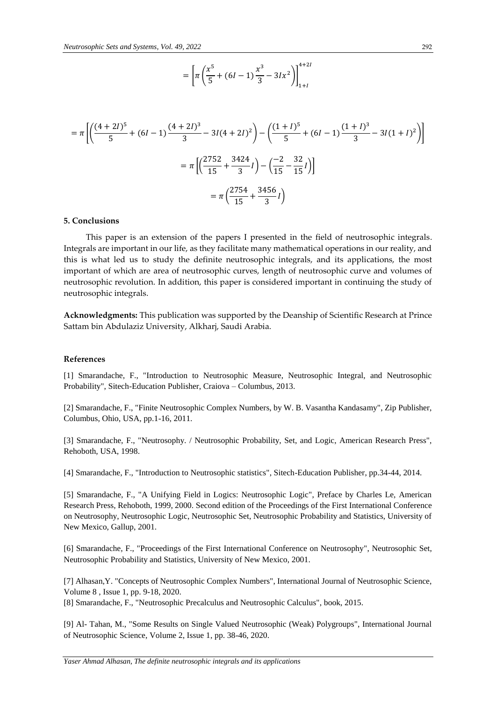$$
= \left[ \pi \left( \frac{x^5}{5} + (6I - 1) \frac{x^3}{3} - 3Ix^2 \right) \right]_{1+I}^{4+2I}
$$

$$
= \pi \left[ \left( \frac{(4+2I)^5}{5} + (6I-1)\frac{(4+2I)^3}{3} - 3I(4+2I)^2 \right) - \left( \frac{(1+I)^5}{5} + (6I-1)\frac{(1+I)^3}{3} - 3I(1+I)^2 \right) \right]
$$

$$
= \pi \left[ \left( \frac{2752}{15} + \frac{3424}{3}I \right) - \left( \frac{-2}{15} - \frac{32}{15}I \right) \right]
$$

$$
= \pi \left( \frac{2754}{15} + \frac{3456}{3}I \right)
$$

#### **5. Conclusions**

 This paper is an extension of the papers I presented in the field of neutrosophic integrals. Integrals are important in our life, as they facilitate many mathematical operations in our reality, and this is what led us to study the definite neutrosophic integrals, and its applications, the most important of which are area of neutrosophic curves, length of neutrosophic curve and volumes of neutrosophic revolution. In addition, this paper is considered important in continuing the study of neutrosophic integrals.

**Acknowledgments:** This publication was supported by the Deanship of Scientific Research at Prince Sattam bin Abdulaziz University, Alkharj, Saudi Arabia.

#### **References**

[1] Smarandache, F., "Introduction to Neutrosophic Measure, Neutrosophic Integral, and Neutrosophic Probability", Sitech-Education Publisher, Craiova – Columbus, 2013.

[2] Smarandache, F., "Finite Neutrosophic Complex Numbers, by W. B. Vasantha Kandasamy", Zip Publisher, Columbus, Ohio, USA, pp.1-16, 2011.

[3] Smarandache, F., "Neutrosophy. / Neutrosophic Probability, Set, and Logic, American Research Press", Rehoboth, USA, 1998.

[4] Smarandache, F., "Introduction to Neutrosophic statistics", Sitech-Education Publisher, pp.34-44, 2014.

[5] Smarandache, F., "A Unifying Field in Logics: Neutrosophic Logic", Preface by Charles Le, American Research Press, Rehoboth, 1999, 2000. Second edition of the Proceedings of the First International Conference on Neutrosophy, Neutrosophic Logic, Neutrosophic Set, Neutrosophic Probability and Statistics, University of New Mexico, Gallup, 2001.

[6] Smarandache, F., "Proceedings of the First International Conference on Neutrosophy", Neutrosophic Set, Neutrosophic Probability and Statistics, University of New Mexico, 2001.

[7] Alhasan,Y. "Concepts of Neutrosophic Complex Numbers", International Journal of Neutrosophic Science, Volume 8 , Issue 1, pp. 9-18, 2020.

[8] Smarandache, F., "Neutrosophic Precalculus and Neutrosophic Calculus", book, 2015.

[9] Al- Tahan, M., "Some Results on Single Valued Neutrosophic (Weak) Polygroups", International Journal of Neutrosophic Science, Volume 2, Issue 1, pp. 38-46, 2020.